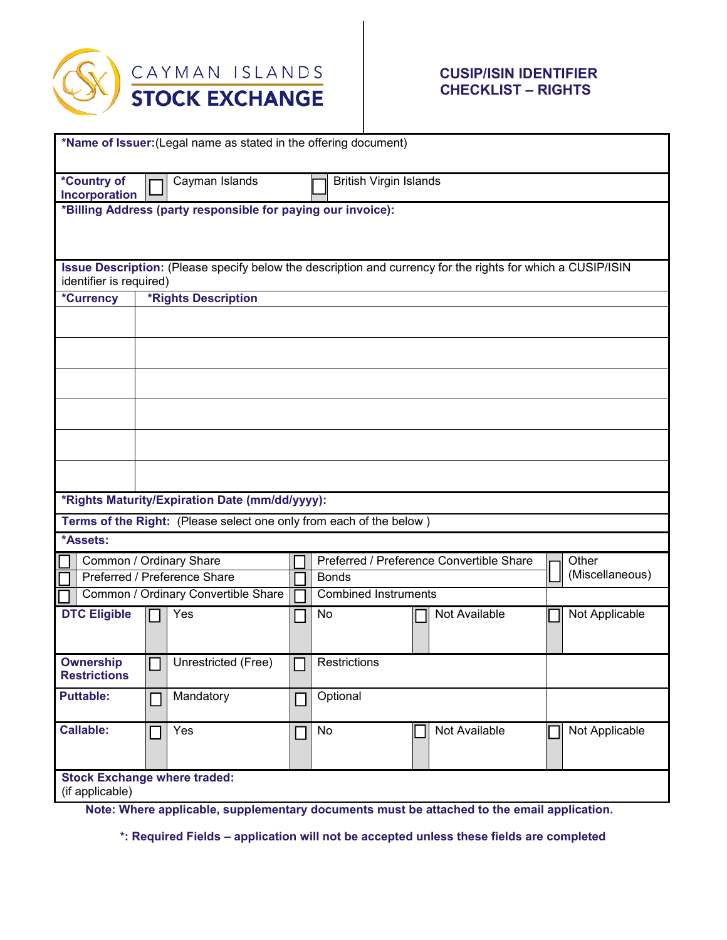

## **CUSIP/ISIN IDENTIFIER CHECKLIST – RIGHTS**

| *Name of Issuer: (Legal name as stated in the offering document)                                                                       |                                     |                     |                |                                                   |               |                 |                |
|----------------------------------------------------------------------------------------------------------------------------------------|-------------------------------------|---------------------|----------------|---------------------------------------------------|---------------|-----------------|----------------|
| *Country of<br>Cayman Islands<br><b>British Virgin Islands</b><br>Incorporation                                                        |                                     |                     |                |                                                   |               |                 |                |
| *Billing Address (party responsible for paying our invoice):                                                                           |                                     |                     |                |                                                   |               |                 |                |
| Issue Description: (Please specify below the description and currency for the rights for which a CUSIP/ISIN<br>identifier is required) |                                     |                     |                |                                                   |               |                 |                |
| *Currency<br><b>*Rights Description</b>                                                                                                |                                     |                     |                |                                                   |               |                 |                |
|                                                                                                                                        |                                     |                     |                |                                                   |               |                 |                |
|                                                                                                                                        |                                     |                     |                |                                                   |               |                 |                |
|                                                                                                                                        |                                     |                     |                |                                                   |               |                 |                |
|                                                                                                                                        |                                     |                     |                |                                                   |               |                 |                |
|                                                                                                                                        |                                     |                     |                |                                                   |               |                 |                |
|                                                                                                                                        |                                     |                     |                |                                                   |               |                 |                |
| *Rights Maturity/Expiration Date (mm/dd/yyyy):                                                                                         |                                     |                     |                |                                                   |               |                 |                |
| Terms of the Right: (Please select one only from each of the below)                                                                    |                                     |                     |                |                                                   |               |                 |                |
| *Assets:                                                                                                                               |                                     |                     |                |                                                   |               |                 |                |
| Common / Ordinary Share                                                                                                                |                                     |                     |                | Preferred / Preference Convertible Share<br>Other |               |                 |                |
| Preferred / Preference Share                                                                                                           |                                     |                     | <b>Bonds</b>   |                                                   |               | (Miscellaneous) |                |
|                                                                                                                                        | Common / Ordinary Convertible Share |                     |                | <b>Combined Instruments</b>                       |               |                 |                |
| <b>DTC Eligible</b>                                                                                                                    |                                     | Yes                 |                | No                                                | Not Available |                 | Not Applicable |
| <b>Ownership</b><br><b>Restrictions</b>                                                                                                |                                     | Unrestricted (Free) |                | $\Box$ Restrictions                               |               |                 |                |
| <b>Puttable:</b>                                                                                                                       | П                                   | Mandatory           | $\mathbb{R}^2$ | Optional                                          |               |                 |                |
| <b>Callable:</b>                                                                                                                       | $\mathcal{L}_{\mathcal{A}}$         | Yes                 | $\Box$         | No                                                | Not Available |                 | Not Applicable |
| <b>Stock Exchange where traded:</b><br>(if applicable)                                                                                 |                                     |                     |                |                                                   |               |                 |                |

**Note: Where applicable, supplementary documents must be attached to the email application.**

**\*: Required Fields – application will not be accepted unless these fields are completed**